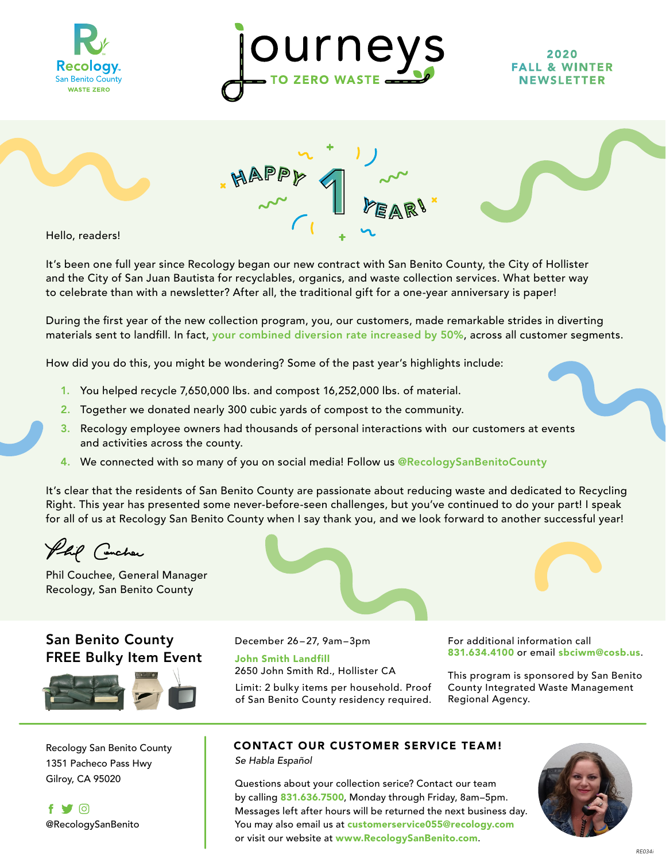



#### 2020 FALL & WINTER **NEWSLETTER**





Hello, readers!

It's been one full year since Recology began our new contract with San Benito County, the City of Hollister and the City of San Juan Bautista for recyclables, organics, and waste collection services. What better way to celebrate than with a newsletter? After all, the traditional gift for a one-year anniversary is paper!

During the first year of the new collection program, you, our customers, made remarkable strides in diverting materials sent to landfill. In fact, your combined diversion rate increased by 50%, across all customer segments.

How did you do this, you might be wondering? Some of the past year's highlights include:

- 1. You helped recycle 7,650,000 lbs. and compost 16,252,000 lbs. of material.
- 2. Together we donated nearly 300 cubic yards of compost to the community.
- 3. Recology employee owners had thousands of personal interactions with our customers at events and activities across the county.
- 4. We connected with so many of you on social media! Follow us @RecologySanBenitoCounty

It's clear that the residents of San Benito County are passionate about reducing waste and dedicated to Recycling Right. This year has presented some never-before-seen challenges, but you've continued to do your part! I speak for all of us at Recology San Benito County when I say thank you, and we look forward to another successful year!

Phil Concher

Phil Couchee, General Manager Recology, San Benito County

## San Benito County FREE Bulky Item Event



1351 Pacheco Pass Hwy



December 26 – 27, 9am–3pm

John Smith Landfill 2650 John Smith Rd., Hollister CA

Limit: 2 bulky items per household. Proof of San Benito County residency required. For additional information call 831.634.4100 or email sbciwm@cosb.us.

This program is sponsored by San Benito County Integrated Waste Management Regional Agency.

### Recology San Benito County **CONTACT OUR CUSTOMER SERVICE TEAM!**

*Se Habla Español*

Gilroy, CA 95020 **Questions about your collection serice?** Contact our team by calling 831.636.7500, Monday through Friday, 8am–5pm. Messages left after hours will be returned the next business day. You may also email us at customerservice055@recology.com or visit our website at www.RecologySanBenito.com.